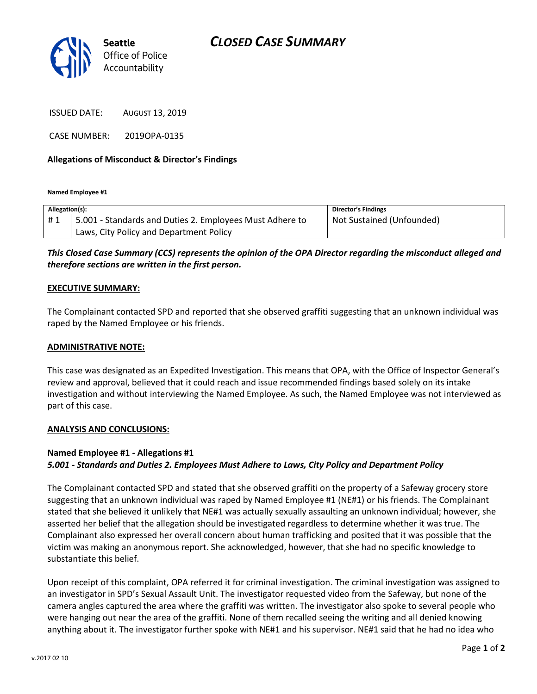

ISSUED DATE: AUGUST 13, 2019

CASE NUMBER: 2019OPA-0135

### **Allegations of Misconduct & Director's Findings**

**Named Employee #1**

| Allegation(s): |                                                          | Director's Findings       |
|----------------|----------------------------------------------------------|---------------------------|
| #1             | 5.001 - Standards and Duties 2. Employees Must Adhere to | Not Sustained (Unfounded) |
|                | Laws, City Policy and Department Policy                  |                           |

## *This Closed Case Summary (CCS) represents the opinion of the OPA Director regarding the misconduct alleged and therefore sections are written in the first person.*

#### **EXECUTIVE SUMMARY:**

The Complainant contacted SPD and reported that she observed graffiti suggesting that an unknown individual was raped by the Named Employee or his friends.

#### **ADMINISTRATIVE NOTE:**

This case was designated as an Expedited Investigation. This means that OPA, with the Office of Inspector General's review and approval, believed that it could reach and issue recommended findings based solely on its intake investigation and without interviewing the Named Employee. As such, the Named Employee was not interviewed as part of this case.

#### **ANALYSIS AND CONCLUSIONS:**

# **Named Employee #1 - Allegations #1** *5.001 - Standards and Duties 2. Employees Must Adhere to Laws, City Policy and Department Policy*

The Complainant contacted SPD and stated that she observed graffiti on the property of a Safeway grocery store suggesting that an unknown individual was raped by Named Employee #1 (NE#1) or his friends. The Complainant stated that she believed it unlikely that NE#1 was actually sexually assaulting an unknown individual; however, she asserted her belief that the allegation should be investigated regardless to determine whether it was true. The Complainant also expressed her overall concern about human trafficking and posited that it was possible that the victim was making an anonymous report. She acknowledged, however, that she had no specific knowledge to substantiate this belief.

Upon receipt of this complaint, OPA referred it for criminal investigation. The criminal investigation was assigned to an investigator in SPD's Sexual Assault Unit. The investigator requested video from the Safeway, but none of the camera angles captured the area where the graffiti was written. The investigator also spoke to several people who were hanging out near the area of the graffiti. None of them recalled seeing the writing and all denied knowing anything about it. The investigator further spoke with NE#1 and his supervisor. NE#1 said that he had no idea who